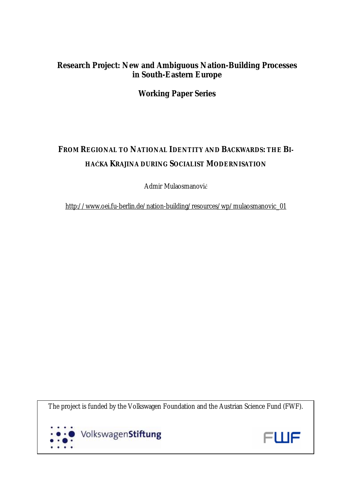## **Research Project: New and Ambiguous Nation-Building Processes in South-Eastern Europe**

**Working Paper Series** 

# **FROM REGIONAL TO NATIONAL IDENTITY AND BACKWARDS: THE BI-HAĆKA KRAJINA DURING SOCIALIST MODERNISATION**

Admir Mulaosmanović

[http://www.oei.fu-berlin.de/nation-building/resources/wp/mulaosmanovic\\_01](http://www.oei.fu-berlin.de/nation-building/resources/wp/mulaosmanovic_01)

The project is funded by the Volkswagen Foundation and the Austrian Science Fund (FWF).



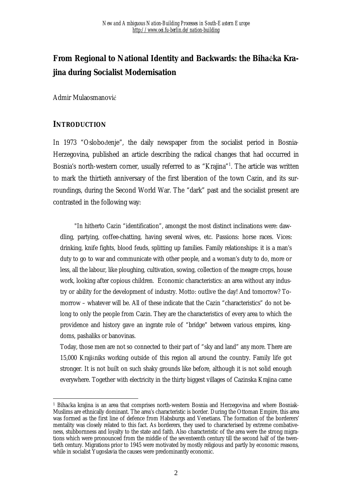# **From Regional to National Identity and Backwards: the Bihaćka Krajina during Socialist Modernisation**

Admir Mulaosmanović

### **INTRODUCTION**

 $\overline{a}$ 

In 1973 "Oslobođenje", the daily newspaper from the socialist period in Bosnia-Herzegovina, published an article describing the radical changes that had occurred in Bosnia's north-western corner, usually referred to as "Krajina"<sup>1</sup>. The article was written to mark the thirtieth anniversary of the first liberation of the town Cazin, and its surroundings, during the Second World War. The "dark" past and the socialist present are contrasted in the following way:

"In hitherto Cazin "identification", amongst the most distinct inclinations were: dawdling, partying, coffee-chatting, having several wives, etc. Passions: horse races. Vices: drinking, knife fights, blood feuds, splitting up families. Family relationships: it is a man's duty to go to war and communicate with other people, and a woman's duty to do, more or less, all the labour, like ploughing, cultivation, sowing, collection of the meagre crops, house work, looking after copious children. Economic characteristics: an area without any industry or ability for the development of industry. Motto: outlive the day! And tomorrow? Tomorrow – whatever will be. All of these indicate that the Cazin "characteristics" do not belong to only the people from Cazin. They are the characteristics of every area to which the providence and history gave an ingrate role of "bridge" between various empires, kingdoms, pashaliks or banovinas.

Today, those men are not so connected to their part of "sky and land" any more. There are 15,000 Krajišniks working outside of this region all around the country. Family life got stronger. It is not built on such shaky grounds like before, although it is not solid enough everywhere. Together with electricity in the thirty biggest villages of Cazinska Krajina came

<sup>1</sup> Bihaćka krajina is an area that comprises north-western Bosnia and Herzegovina and where Bosniak-Muslims are ethnically dominant. The area's characteristic is border. During the Ottoman Empire, this area was formed as the first line of defence from Habsburgs and Venetians. The formation of the borderers' mentality was closely related to this fact. As borderers, they used to characterised by extreme combativeness, stubbornness and loyalty to the state and faith. Also characteristic of the area were the strong migrations which were pronounced from the middle of the seventeenth century till the second half of the twentieth century. Migrations prior to 1945 were motivated by mostly religious and partly by economic reasons, while in socialist Yugoslavia the causes were predominantly economic.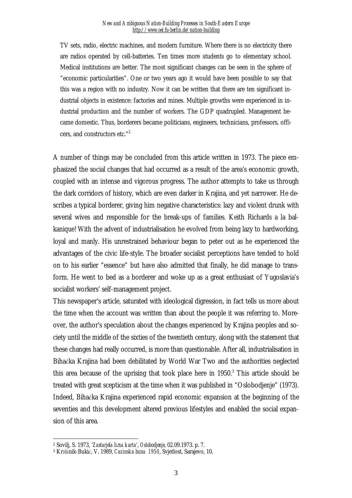TV sets, radio, electric machines, and modern furniture. Where there is no electricity there are radios operated by cell-batteries. Ten times more students go to elementary school. Medical institutions are better. The most significant changes can be seen in the sphere of "economic particularities". One or two years ago it would have been possible to say that this was a region with no industry. Now it can be written that there are ten significant industrial objects in existence: factories and mines. Multiple growths were experienced in industrial production and the number of workers. The GDP quadrupled. Management became domestic. Thus, borderers became politicians, engineers, technicians, professors, officers, and constructors etc."<sup>2</sup>

A number of things may be concluded from this article written in 1973. The piece emphasized the social changes that had occurred as a result of the area's economic growth, coupled with an intense and vigorous progress. The author attempts to take us through the dark corridors of history, which are even darker in Krajina, and yet narrower. He describes a typical borderer, giving him negative characteristics: lazy and violent drunk with several wives and responsible for the break-ups of families. Keith Richards a la balkanique! With the advent of industrialisation he evolved from being lazy to hardworking, loyal and manly. His unrestrained behaviour began to peter out as he experienced the advantages of the civic life-style. The broader socialist perceptions have tended to hold on to his earlier "essence" but have also admitted that finally, he did manage to transform. He went to bed as a borderer and woke up as a great enthusiast of Yugoslavia's socialist workers' self-management project.

This newspaper's article, saturated with ideological digression, in fact tells us more about the time when the account was written than about the people it was referring to. Moreover, the author's speculation about the changes experienced by Krajina peoples and society until the middle of the sixties of the twentieth century, along with the statement that these changes had really occurred, is more than questionable. After all, industrialisation in Bihaćka Krajina had been debilitated by World War Two and the authorities neglected this area because of the uprising that took place here in  $1950$ .<sup>3</sup> This article should be treated with great scepticism at the time when it was published in "Oslobodjenje" (1973). Indeed, Bihaćka Krajina experienced rapid economic expansion at the beginning of the seventies and this development altered previous lifestyles and enabled the social expansion of this area.

 $\overline{a}$ <sup>2</sup> Sovilj, S. 1973, *'Zastarjela lična karta'*, *Oslobodjenje*, 02.09.1973. p. 7.

<sup>3</sup> Kržišnik-Bukić, V. 1989, *Cazinska buna 1950*, Svjetlost, Sarajevo, 10.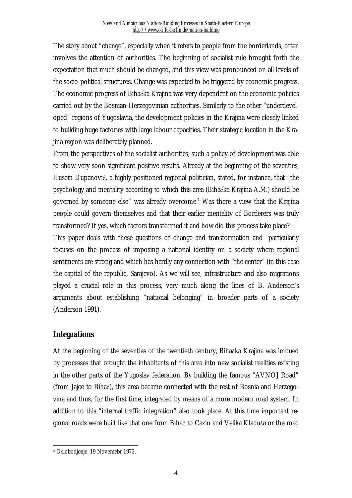The story about "change", especially when it refers to people from the borderlands, often involves the attention of authorities. The beginning of socialist rule brought forth the expectation that much should be changed, and this view was pronounced on all levels of the socio-political structures. Change was expected to be triggered by economic progress. The economic progress of Bihaćka Krajina was very dependent on the economic policies carried out by the Bosnian-Herzegovinian authorities. Similarly to the other "underdeveloped" regions of Yugoslavia, the development policies in the Krajina were closely linked to building huge factories with large labour capacities. Their strategic location in the Krajina region was deliberately planned.

From the perspectives of the socialist authorities, such a policy of development was able to show very soon significant positive results. Already at the beginning of the seventies, Husein Dupanović, a highly positioned regional politician, stated, for instance, that "the psychology and mentality according to which this area (Bihaćka Krajina A.M.) should be governed by someone else" was already overcome.<sup>4</sup> Was there a view that the Krajina people could govern themselves and that their earlier mentality of Borderers was truly transformed? If yes, which factors transformed it and how did this process take place?

This paper deals with these questions of change and transformation and particularly focuses on the process of imposing a national identity on a society where regional sentiments are strong and which has hardly any connection with "the center" (in this case the capital of the republic, Sarajevo). As we will see, infrastructure and also migrations played a crucial role in this process, very much along the lines of B. Anderson's arguments about establishing "national belonging" in broader parts of a society (Anderson 1991).

### **Integrations**

At the beginning of the seventies of the twentieth century, Bihaćka Krajina was imbued by processes that brought the inhabitants of this area into new socialist realities existing in the other parts of the Yugoslav federation. By building the famous "AVNOJ Road" (from Jajce to Bihać), this area became connected with the rest of Bosnia and Herzegovina and thus, for the first time, integrated by means of a more modern road system. In addition to this "internal traffic integration" also took place. At this time important regional roads were built like that one from Bihać to Cazin and Velika Kladuša or the road

 $\overline{a}$ <sup>4</sup> Oslobodjenje, 19 Novemebr 1972.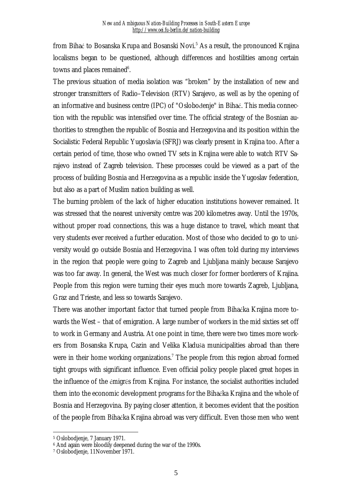from Bihać to Bosanska Krupa and Bosanski Novi.<sup>5</sup> As a result, the pronounced Krajina localisms began to be questioned, although differences and hostilities among certain towns and places remained<sup>6</sup>.

The previous situation of media isolation was "broken" by the installation of new and stronger transmitters of Radio–Television (RTV) Sarajevo, as well as by the opening of an informative and business centre (IPC) of "Oslobođenje" in Bihać. This media connection with the republic was intensified over time. The official strategy of the Bosnian authorities to strengthen the republic of Bosnia and Herzegovina and its position within the Socialistic Federal Republic Yugoslavia (SFRJ) was clearly present in Krajina too. After a certain period of time, those who owned TV sets in Krajina were able to watch RTV Sarajevo instead of Zagreb television. These processes could be viewed as a part of the process of building Bosnia and Herzegovina as a republic inside the Yugoslav federation, but also as a part of Muslim nation building as well.

The burning problem of the lack of higher education institutions however remained. It was stressed that the nearest university centre was 200 kilometres away. Until the 1970s, without proper road connections, this was a huge distance to travel, which meant that very students ever received a further education. Most of those who decided to go to university would go outside Bosnia and Herzegovina. I was often told during my interviews in the region that people were going to Zagreb and Ljubljana mainly because Sarajevo was too far away. In general, the West was much closer for former borderers of Krajina. People from this region were turning their eyes much more towards Zagreb, Ljubljana, Graz and Trieste, and less so towards Sarajevo.

There was another important factor that turned people from Bihaćka Krajina more towards the West – that of emigration. A large number of workers in the mid sixties set off to work in Germany and Austria. At one point in time, there were two times more workers from Bosanska Krupa, Cazin and Velika Kladuša municipalities abroad than there were in their home working organizations.<sup>7</sup> The people from this region abroad formed tight groups with significant influence. Even official policy people placed great hopes in the influence of the émigrés from Krajina. For instance, the socialist authorities included them into the economic development programs for the Bihaćka Krajina and the whole of Bosnia and Herzegovina. By paying closer attention, it becomes evident that the position of the people from Bihaćka Krajina abroad was very difficult. Even those men who went

<sup>5</sup> Oslobodjenje, 7 January 1971.

<sup>&</sup>lt;sup>6</sup> And again were bloodily deepened during the war of the 1990s.

<sup>7</sup> Oslobodjenje, 11November 1971.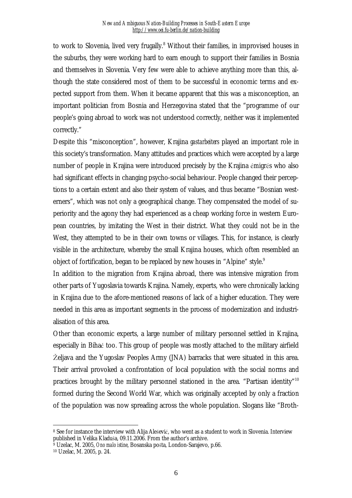to work to Slovenia, lived very frugally.<sup>8</sup> Without their families, in improvised houses in the suburbs, they were working hard to earn enough to support their families in Bosnia and themselves in Slovenia. Very few were able to achieve anything more than this, although the state considered most of them to be successful in economic terms and expected support from them. When it became apparent that this was a misconception, an important politician from Bosnia and Herzegovina stated that the "programme of our people's going abroad to work was not understood correctly, neither was it implemented correctly."

Despite this "misconception", however, Krajina *gastarbeiters* played an important role in this society's transformation. Many attitudes and practices which were accepted by a large number of people in Krajina were introduced precisely by the Krajina émigrés who also had significant effects in changing psycho-social behaviour. People changed their perceptions to a certain extent and also their system of values, and thus became "Bosnian westerners", which was not only a geographical change. They compensated the model of superiority and the agony they had experienced as a cheap working force in western European countries, by imitating the West in their district. What they could not be in the West, they attempted to be in their own towns or villages. This, for instance, is clearly visible in the architecture, whereby the small Krajina houses, which often resembled an object of fortification, began to be replaced by new houses in "Alpine" style.<sup>9</sup>

In addition to the migration from Krajina abroad, there was intensive migration from other parts of Yugoslavia towards Krajina. Namely, experts, who were chronically lacking in Krajina due to the afore-mentioned reasons of lack of a higher education. They were needed in this area as important segments in the process of modernization and industrialisation of this area.

Other than economic experts, a large number of military personnel settled in Krajina, especially in Bihać too. This group of people was mostly attached to the military airfield Željava and the Yugoslav Peoples Army (JNA) barracks that were situated in this area. Their arrival provoked a confrontation of local population with the social norms and practices brought by the military personnel stationed in the area. "Partisan identity"<sup>10</sup> formed during the Second World War, which was originally accepted by only a fraction of the population was now spreading across the whole population. Slogans like "Broth-

<sup>8</sup> See for instance the interview with Alija Alešević, who went as a student to work in Slovenia. Interview published in Velika Kladuša, 09.11.2006. From the author's archive.

<sup>9</sup> Uzelac, M. 2005, *Ono malo istine*, Bosanska pošta, London-Sarajevo, p.66.

<sup>10</sup> Uzelac, M. 2005, p. 24.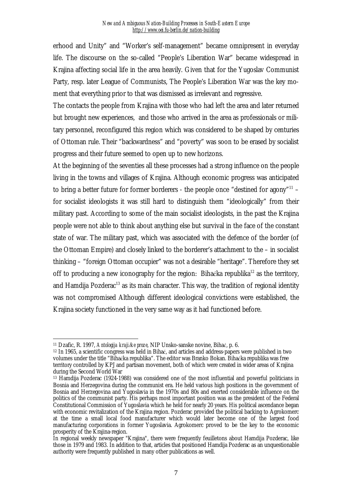erhood and Unity" and "Worker's self-management" became omnipresent in everyday life. The discourse on the so-called "People's Liberation War" became widespread in Krajina affecting social life in the area heavily. Given that for the Yugoslav Communist Party, resp. later League of Communists, The People's Liberation War was the key moment that everything prior to that was dismissed as irrelevant and regressive.

The contacts the people from Krajina with those who had left the area and later returned but brought new experiences, and those who arrived in the area as professionals or military personnel, reconfigured this region which was considered to be shaped by centuries of Ottoman rule. Their "backwardness" and "poverty" was soon to be erased by socialist progress and their future seemed to open up to new horizons.

At the beginning of the seventies all these processes had a strong influence on the people living in the towns and villages of Krajina. Although economic progress was anticipated to bring a better future for former borderers - the people once "destined for agony"<sup>11</sup> – for socialist ideologists it was still hard to distinguish them "ideologically" from their military past. According to some of the main socialist ideologists, in the past the Krajina people were not able to think about anything else but survival in the face of the constant state of war. The military past, which was associated with the defence of the border (of the Ottoman Empire) and closely linked to the borderer's attachment to the – in socialist thinking – "foreign Ottoman occupier" was not a desirable "heritage". Therefore they set off to producing a new iconography for the region: Bihaćka republika<sup>12</sup> as the territory, and Hamdija Pozdera $c^{13}$  as its main character. This way, the tradition of regional identity was not compromised Although different ideological convictions were established, the Krajina society functioned in the very same way as it had functioned before.

 $\overline{a}$ <sup>11</sup> Dzafic, R. 1997, *Antologija krajiške proze*, NIP Unsko-sanske novine, Bihać, p. 6.

<sup>12</sup> In 1965, a scientific congress was held in Bihać, and articles and address-papers were published in two volumes under the title "Bihaćka republika". The editor was Branko Bokan. Bihaćka republika was free territory controlled by KPJ and partisan movement, both of which were created in wider areas of Krajina during the Second World War

<sup>13</sup> Hamdija Pozderac (1924-1988) was considered one of the most influential and powerful politicians in Bosnia and Herzegovina during the communist era. He held various high positions in the government of Bosnia and Herzegovina and Yugoslavia in the 1970s and 80s and exerted considerable influence on the politics of the communist party. His perhaps most important position was as the president of the Federal Constitutional Commission of Yugoslavia which he held for nearly 20 years. His political ascendance began with economic revitalization of the Krajina region. Pozderac provided the political backing to Agrokomerc at the time a small local food manufacturer which would later become one of the largest food manufacturing corporations in former Yugoslavia. Agrokomerc proved to be the key to the economic prosperity of the Krajina-region.

In regional weekly newspaper "Krajina", there were frequently feuilletons about Hamdija Pozderac, like those in 1979 and 1983. In addition to that, articles that positioned Hamdija Pozderac as an unquestionable authority were frequently published in many other publications as well.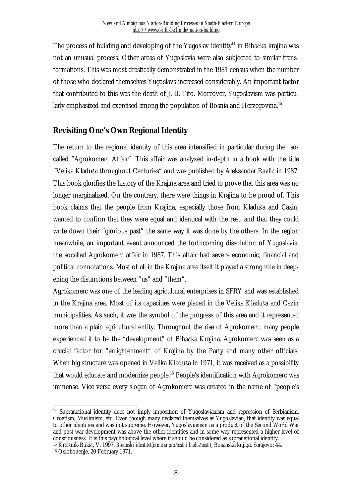The process of building and developing of the Yugoslav identity<sup>14</sup> in Bihaćka krajina was not an unusual process. Other areas of Yugoslavia were also subjected to similar transformations. This was most drastically demonstrated in the 1981 census when the number of those who declared themselves Yugoslavs increased considerably. An important factor that contributed to this was the death of J. B. Tito. Moreover, Yugoslavism was particularly emphasized and exercised among the population of Bosnia and Herzegovina.<sup>15</sup>

### **Revisiting One's Own Regional Identity**

The return to the regional identity of this area intensified in particular during the socalled "Agrokomerc Affair". This affair was analyzed in-depth in a book with the title "Velika Kladuša throughout Centuries" and was published by Aleksandar Ravlić in 1987. This book glorifies the history of the Krajina area and tried to prove that this area was no longer marginalized. On the contrary, there were things in Krajina to be proud of. This book claims that the people from Krajina, especially those from Kladuša and Cazin, wanted to confirm that they were equal and identical with the rest, and that they could write down their "glorious past" the same way it was done by the others. In the region meanwhile, an important event announced the forthcoming dissolution of Yugoslavia: the socalled Agrokomerc affair in 1987. This affair had severe economic, financial and political connotations. Most of all in the Krajina area itself it played a strong role in deepening the distinctions between "us" and "them".

Agrokomerc was one of the leading agricultural enterprises in SFRY and was established in the Krajina area. Most of its capacities were placed in the Velika Kladuša and Cazin municipalities. As such, it was the symbol of the progress of this area and it represented more than a plain agricultural entity. Throughout the rise of Agrokomerc, many people experienced it to be the "development" of Bihaćka Krajina. Agrokomerc was seen as a crucial factor for "enlightenment" of Krajina by the Party and many other officials. When big structure was opened in Velika Kladuša in 1971, it was received as a possibility that would educate and modernize people.<sup>16</sup> People's identification with Agrokomerc was immense. Vice versa every slogan of Agrokomerc was created in the name of "people's

 $\overline{a}$ <sup>14</sup> Supranational identity does not imply imposition of Yugoslavianism and repression of Serbianism, Croatism, Muslimism, etc. Even though many declared themselves as Yugoslavian, that identity was equal to other identities and was not supreme. However, Yugoslavianism as a product of the Second World War and post-war development was above the other identities and in some way represented a higher level of consciousness. It is this psychological level where it should be considered as supranational identity.

<sup>15</sup> Kržišnik-Bukić, V. 1997, *Bosanski identitet(između prošlosti i budućnosti)*, Bosanska knjiga, Sarajevo: 44.

<sup>16</sup> Oslobođenje, 20 February 1971.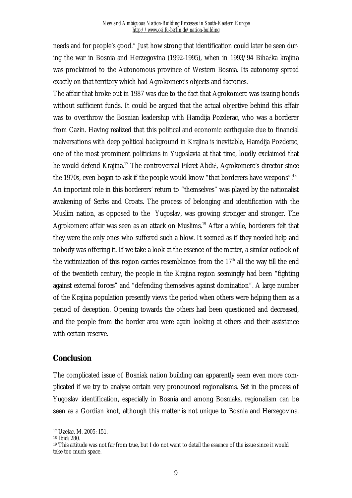needs and for people's good." Just how strong that identification could later be seen during the war in Bosnia and Herzegovina (1992-1995), when in 1993/94 Bihaćka krajina was proclaimed to the Autonomous province of Western Bosnia. Its autonomy spread exactly on that territory which had Agrokomerc's objects and factories.

The affair that broke out in 1987 was due to the fact that Agrokomerc was issuing bonds without sufficient funds. It could be argued that the actual objective behind this affair was to overthrow the Bosnian leadership with Hamdija Pozderac, who was a borderer from Cazin. Having realized that this political and economic earthquake due to financial malversations with deep political background in Krajina is inevitable, Hamdija Pozderac, one of the most prominent politicians in Yugoslavia at that time, loudly exclaimed that he would defend Krajina.<sup>17</sup> The controversial Fikret Abdić, Agrokomerc's director since the 1970s, even began to ask if the people would know "that borderers have weapons"!<sup>18</sup> An important role in this borderers' return to "themselves" was played by the nationalist awakening of Serbs and Croats. The process of belonging and identification with the Muslim nation, as opposed to the Yugoslav, was growing stronger and stronger. The Agrokomerc affair was seen as an attack on Muslims.<sup>19</sup> After a while, borderers felt that they were the only ones who suffered such a blow. It seemed as if they needed help and nobody was offering it. If we take a look at the essence of the matter, a similar outlook of the victimization of this region carries resemblance: from the  $17<sup>th</sup>$  all the way till the end of the twentieth century, the people in the Krajina region seemingly had been "fighting against external forces" and "defending themselves against domination". A large number of the Krajina population presently views the period when others were helping them as a period of deception. Opening towards the others had been questioned and decreased, and the people from the border area were again looking at others and their assistance with certain reserve.

### **Conclusion**

The complicated issue of Bosniak nation building can apparently seem even more complicated if we try to analyse certain very pronounced regionalisms. Set in the process of Yugoslav identification, especially in Bosnia and among Bosniaks, regionalism can be seen as a Gordian knot, although this matter is not unique to Bosnia and Herzegovina.

<sup>17</sup> Uzelac, M. 2005: 151.

<sup>18</sup> Ibid: 280.

<sup>&</sup>lt;sup>19</sup> This attitude was not far from true, but I do not want to detail the essence of the issue since it would take too much space.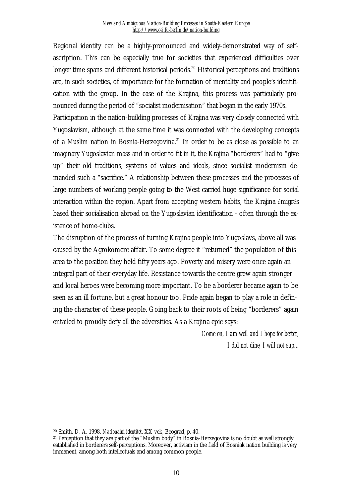Regional identity can be a highly-pronounced and widely-demonstrated way of selfascription. This can be especially true for societies that experienced difficulties over longer time spans and different historical periods.<sup>20</sup> Historical perceptions and traditions are, in such societies, of importance for the formation of mentality and people's identification with the group. In the case of the Krajina, this process was particularly pronounced during the period of "socialist modernisation" that began in the early 1970s. Participation in the nation-building processes of Krajina was very closely connected with Yugoslavism, although at the same time it was connected with the developing concepts of a Muslim nation in Bosnia-Herzegovina.<sup>21</sup> In order to be as close as possible to an imaginary Yugoslavian mass and in order to fit in it, the Krajina "borderers" had to "give up" their old traditions, systems of values and ideals, since socialist modernism demanded such a "sacrifice." A relationship between these processes and the processes of large numbers of working people going to the West carried huge significance for social interaction within the region. Apart from accepting western habits, the Krajina émigrés based their socialisation abroad on the Yugoslavian identification - often through the existence of home-clubs.

The disruption of the process of turning Krajina people into Yugoslavs, above all was caused by the Agrokomerc affair. To some degree it "returned" the population of this area to the position they held fifty years ago. Poverty and misery were once again an integral part of their everyday life. Resistance towards the centre grew again stronger and local heroes were becoming more important. To be a borderer became again to be seen as an ill fortune, but a great honour too. Pride again began to play a role in defining the character of these people. Going back to their roots of being "borderers" again entailed to proudly defy all the adversities. As a Krajina epic says:

> *Come on, I am well and I hope for better, I did not dine, I will not sup...*

<sup>20</sup> Smith, D. A. 1998, *Nacionalni identitet*, XX vek, Beograd, p. 40.

<sup>&</sup>lt;sup>21</sup> Perception that they are part of the "Muslim body" in Bosnia-Herzegovina is no doubt as well strongly established in borderers self-perceptions. Moreover, activism in the field of Bosniak nation building is very immanent, among both intellectuals and among common people.